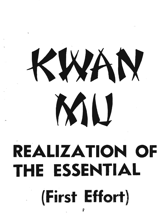## KWAN MU

## .- **REALIZATION OF THE ESSENTIAL**

\_. **(First Effort)**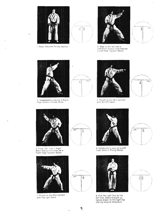

 $\ddot{\phantom{a}}$ 

 $\ddotsc$ 

 $\ddot{\phantom{a}}$ 

 $\overline{\phantom{a}}$ 

1. Bow. Assume Ready Stance.



2 Step to the left into a<br>Left Back Stance and execute<br>a Left High Section Block.



3. Immediately execute a Right<br>High Section Bising Block



**B** 



4. Punch to the Mid-Section<br>with the left hand.



 $\ddot{\phantom{1}}$ 





5. Pivot 180 - into a Right<br>Back Stance and execute a<br>Right High Section Block,



7. Punch to the Mid-Section with the right hand.

 $\overline{\phantom{a}}$ 

 $\ddot{\phantom{a}}$ 



6. Immediately execute a Left<br>High Section Rising Block.



8. Pull the right foot to the<br>left foot, stand straight up,<br>hands drawn to the right hip<br>(facing original direction).



9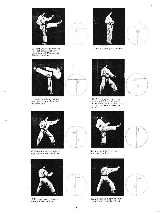

į.

9. Front Snap Kick with the<br>left foot, simultaneously<br>execute a Left Mid-Section<br>Block (side view).



11. Without moving the left<br>foot. Back Thrust Kick with<br>the right foot.



13. Execute an extended Left<br>High Section Backfist Strike.



15. Moving forward, assume<br>the Right Back Stance.



嘉

80e

ŷ

sillo.



10. Return to original position.



12. Step down in place and<br>slide the left foot forward to<br>a Left Back Stance and execute<br>a Left Low-Section Pressing<br>Block.



14. Immediately Front Kick with the right foot.



16. Execute an extended Right High-Section Backfist Strike.



Š,  $\ddot{\phantom{a}}$ 







₽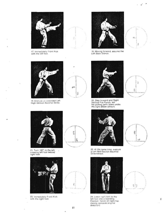

17. Immediately Front Kick<br>with the left foot.





18. Moving forward, assume the<br>Left Back Stance.



19. Execute an extended Left<br>High-Section Backfist Strike.



Ŀ,

21. Turn 180° to the left.<br>crossing left foot behind<br>right foot.

 $\ddot{\phantom{a}}$ 



23. Immediately Front Kick<br>with the right foot.

 $\overline{\phantom{a}}$ 



愛海

ĝ

20. Step forward and Right<br>Vertical Fist Punch, left<br>fist pulling palm down under<br>the right elbow (shout).



22. At the same time, execute<br>a Left Mid-Section Backfist<br>Strike-Block.



24. Lower right foot to the<br>left foot into a Standing<br>Position, hands on right hip.<br>(facing opposite original<br>direction).







 $\pmb{\mathfrak{f}}$  $\hat{\mathcal{L}}$ 

 $\bar{1}$ 

 $\tilde{\gamma}$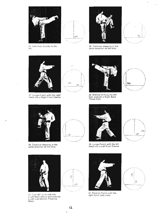

25. Side Kick directly to the left.



,--

26. Continue stepping in the same direction as the Kick.



 $\tilde{\phantom{a}}$ 

 $\hat{ }$ 



27. Lunge Punch with the right hand into a Right Front Stance.



28. Without shifting the left foot, execute a Right Back Thrust Kick.





29. Continue stepping in the same direction as the Kick.





30. Lunge Punch with the left hand into a Left Front Stance.





31. Turn 90° to the left into a Left Back Stance and execute a Left Low-Section Pressing Block

ł,

 $\ddot{\phantom{0}}$ 





32. Reverse Punch with the right hand (side view).



×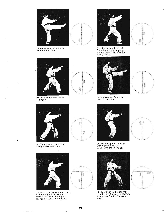

**R** 

4

\$

覆

Þ

v

33 Immediately Front Kick with the nght foot.



35 Reverse Punch with the left hand.

 $\ddot{\phantom{a}}$ 

 $\overline{\phantom{a}}$ 



37. Step forward. executing a Right Reverse Punch.



39. Finish step forward punching with the right hand (shout). Note: Steps 38 & 39 are per-formed quickly without pause.



34. Step down into a Right Front Stance. executing a Right Circular High-Section Rising Block.



36. Immediately Front Kick with the left foot.



38. Begin stepping forward with right foot as you punch with the left hand.



40. Turn 270° to the left into<br>a Left Back Stance and perform a Left Low Section Pressing Block.



 $\overline{\phantom{a}}$ 





 $\Delta \widehat{\otimes} \widehat{\otimes}$ 

 $\ddot{\phantom{a}}$ 



ing)

鹭